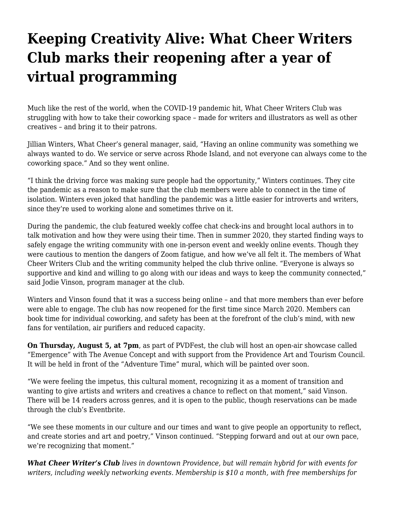## **[Keeping Creativity Alive: What Cheer Writers](https://motifri.com/keeping-creativity-alive-what-cheer-writers-club-marks-their-reopening-after-a-year-of-virtual-programming/) [Club marks their reopening after a year of](https://motifri.com/keeping-creativity-alive-what-cheer-writers-club-marks-their-reopening-after-a-year-of-virtual-programming/) [virtual programming](https://motifri.com/keeping-creativity-alive-what-cheer-writers-club-marks-their-reopening-after-a-year-of-virtual-programming/)**

Much like the rest of the world, when the COVID-19 pandemic hit, What Cheer Writers Club was struggling with how to take their coworking space – made for writers and illustrators as well as other creatives – and bring it to their patrons.

Jillian Winters, What Cheer's general manager, said, "Having an online community was something we always wanted to do. We service or serve across Rhode Island, and not everyone can always come to the coworking space." And so they went online.

"I think the driving force was making sure people had the opportunity," Winters continues. They cite the pandemic as a reason to make sure that the club members were able to connect in the time of isolation. Winters even joked that handling the pandemic was a little easier for introverts and writers, since they're used to working alone and sometimes thrive on it.

During the pandemic, the club featured weekly coffee chat check-ins and brought local authors in to talk motivation and how they were using their time. Then in summer 2020, they started finding ways to safely engage the writing community with one in-person event and weekly online events. Though they were cautious to mention the dangers of Zoom fatigue, and how we've all felt it. The members of What Cheer Writers Club and the writing community helped the club thrive online. "Everyone is always so supportive and kind and willing to go along with our ideas and ways to keep the community connected," said Jodie Vinson, program manager at the club.

Winters and Vinson found that it was a success being online – and that more members than ever before were able to engage. The club has now reopened for the first time since March 2020. Members can book time for individual coworking, and safety has been at the forefront of the club's mind, with new fans for ventilation, air purifiers and reduced capacity.

**On Thursday, August 5, at 7pm**, as part of PVDFest, the club will host an open-air showcase called "Emergence" with The Avenue Concept and with support from the Providence Art and Tourism Council. It will be held in front of the "Adventure Time" mural, which will be painted over soon.

"We were feeling the impetus, this cultural moment, recognizing it as a moment of transition and wanting to give artists and writers and creatives a chance to reflect on that moment," said Vinson. There will be 14 readers across genres, and it is open to the public, though reservations can be made through the club's Eventbrite.

"We see these moments in our culture and our times and want to give people an opportunity to reflect, and create stories and art and poetry," Vinson continued. "Stepping forward and out at our own pace, we're recognizing that moment."

*What Cheer Writer's Club lives in downtown Providence, but will remain hybrid for with events for writers, including weekly networking events. Membership is \$10 a month, with free memberships for*